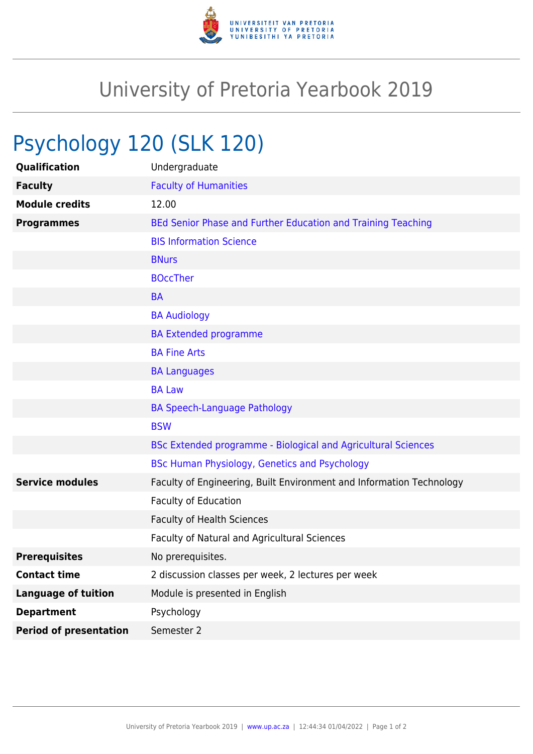

## University of Pretoria Yearbook 2019

## Psychology 120 (SLK 120)

| Qualification                 | Undergraduate                                                        |
|-------------------------------|----------------------------------------------------------------------|
| <b>Faculty</b>                | <b>Faculty of Humanities</b>                                         |
| <b>Module credits</b>         | 12.00                                                                |
| <b>Programmes</b>             | BEd Senior Phase and Further Education and Training Teaching         |
|                               | <b>BIS Information Science</b>                                       |
|                               | <b>BNurs</b>                                                         |
|                               | <b>BOccTher</b>                                                      |
|                               | <b>BA</b>                                                            |
|                               | <b>BA Audiology</b>                                                  |
|                               | <b>BA Extended programme</b>                                         |
|                               | <b>BA Fine Arts</b>                                                  |
|                               | <b>BA Languages</b>                                                  |
|                               | <b>BA Law</b>                                                        |
|                               | <b>BA Speech-Language Pathology</b>                                  |
|                               | <b>BSW</b>                                                           |
|                               | BSc Extended programme - Biological and Agricultural Sciences        |
|                               | <b>BSc Human Physiology, Genetics and Psychology</b>                 |
| <b>Service modules</b>        | Faculty of Engineering, Built Environment and Information Technology |
|                               | Faculty of Education                                                 |
|                               | <b>Faculty of Health Sciences</b>                                    |
|                               | Faculty of Natural and Agricultural Sciences                         |
| <b>Prerequisites</b>          | No prerequisites.                                                    |
| <b>Contact time</b>           | 2 discussion classes per week, 2 lectures per week                   |
| <b>Language of tuition</b>    | Module is presented in English                                       |
| <b>Department</b>             | Psychology                                                           |
| <b>Period of presentation</b> | Semester 2                                                           |